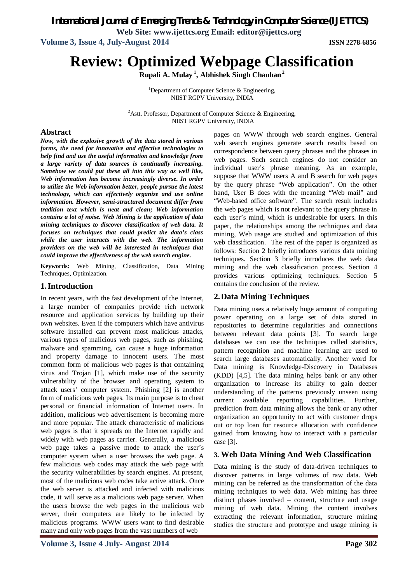*International Journal of Emerging Trends & Technology in Computer Science (IJETTCS)*

**Web Site: www.ijettcs.org Email: editor@ijettcs.org**

**Volume 3, Issue 4, July-August 2014 ISSN 2278-6856**

# **Review: Optimized Webpage Classification**

**Rupali A. Mulay <sup>1</sup> , Abhishek Singh Chauhan<sup>2</sup>**

<sup>1</sup>Department of Computer Science  $\&$  Engineering, NIIST RGPV University, INDIA

<sup>2</sup>Astt. Professor, Department of Computer Science & Engineering, NIIST RGPV University, INDIA

### **Abstract**

*Now, with the explosive growth of the data stored in various forms, the need for innovative and effective technologies to help find and use the useful information and knowledge from a large variety of data sources is continually increasing. Somehow we could put these all into this way as well like, Web information has become increasingly diverse. In order to utilize the Web information better, people pursue the latest technology, which can effectively organize and use online information. However, semi-structured document differ from tradition text which is neat and clean; Web information contains a lot of noise. Web Mining is the application of data mining techniques to discover classification of web data. It focuses on techniques that could predict the data's class while the user interacts with the web. The information providers on the web will be interested in techniques that could improve the effectiveness of the web search engine.*

**Keywords:** Web Mining, Classification, Data Mining Techniques, Optimization.

### **1.Introduction**

In recent years, with the fast development of the Internet, a large number of companies provide rich network resource and application services by building up their own websites. Even if the computers which have antivirus software installed can prevent most malicious attacks, various types of malicious web pages, such as phishing, malware and spamming, can cause a huge information and property damage to innocent users. The most common form of malicious web pages is that containing virus and Trojan [1], which make use of the security vulnerability of the browser and operating system to attack users' computer system. Phishing [2] is another form of malicious web pages. Its main purpose is to cheat personal or financial information of Internet users. In addition, malicious web advertisement is becoming more and more popular. The attack characteristic of malicious web pages is that it spreads on the Internet rapidly and widely with web pages as carrier. Generally, a malicious web page takes a passive mode to attack the user's computer system when a user browses the web page. A few malicious web codes may attack the web page with the security vulnerabilities by search engines. At present, most of the malicious web codes take active attack. Once the web server is attacked and infected with malicious code, it will serve as a malicious web page server. When the users browse the web pages in the malicious web server, their computers are likely to be infected by malicious programs. WWW users want to find desirable many and only web pages from the vast numbers of web

pages on WWW through web search engines. General web search engines generate search results based on correspondence between query phrases and the phrases in web pages. Such search engines do not consider an individual user's phrase meaning. As an example, suppose that WWW users A and B search for web pages by the query phrase "Web application". On the other hand, User B does with the meaning "Web mail" and "Web-based office software". The search result includes the web pages which is not relevant to the query phrase in each user's mind, which is undesirable for users. In this paper, the relationships among the techniques and data mining, Web usage are studied and optimization of this web classification. The rest of the paper is organized as follows: Section 2 briefly introduces various data mining techniques. Section 3 briefly introduces the web data mining and the web classification process. Section 4 provides various optimizing techniques. Section 5 contains the conclusion of the review.

### **2.Data Mining Techniques**

Data mining uses a relatively huge amount of computing power operating on a large set of data stored in repositories to determine regularities and connections between relevant data points [3]. To search large databases we can use the techniques called statistics, pattern recognition and machine learning are used to search large databases automatically. Another word for Data mining is Knowledge-Discovery in Databases (KDD) [4,5]. The data mining helps bank or any other organization to increase its ability to gain deeper understanding of the patterns previously unseen using current available reporting capabilities. Further, prediction from data mining allows the bank or any other organization an opportunity to act with customer drops out or top loan for resource allocation with confidence gained from knowing how to interact with a particular case [3].

### **3. Web Data Mining And Web Classification**

Data mining is the study of data-driven techniques to discover patterns in large volumes of raw data. Web mining can be referred as the transformation of the data mining techniques to web data. Web mining has three distinct phases involved – content, structure and usage mining of web data. Mining the content involves extracting the relevant information, structure mining studies the structure and prototype and usage mining is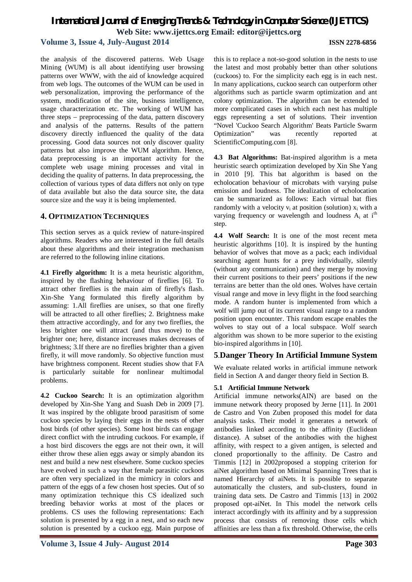### *International Journal of Emerging Trends & Technology in Computer Science (IJETTCS)* **Web Site: www.ijettcs.org Email: editor@ijettcs.org**

### **Volume 3, Issue 4, July-August 2014 ISSN 2278-6856**

the analysis of the discovered patterns. Web Usage Mining (WUM) is all about identifying user browsing patterns over WWW, with the aid of knowledge acquired from web logs. The outcomes of the WUM can be used in web personalization, improving the performance of the system, modification of the site, business intelligence, usage characterization etc. The working of WUM has three steps – preprocessing of the data, pattern discovery and analysis of the patterns. Results of the pattern discovery directly influenced the quality of the data processing. Good data sources not only discover quality patterns but also improve the WUM algorithm. Hence, data preprocessing is an important activity for the complete web usage mining processes and vital in deciding the quality of patterns. In data preprocessing, the collection of various types of data differs not only on type of data available but also the data source site, the data source size and the way it is being implemented.

### **4. OPTIMIZATION TECHNIQUES**

This section serves as a quick review of nature-inspired algorithms. Readers who are interested in the full details about these algorithms and their integration mechanism are referred to the following inline citations.

**4.1 Firefly algorithm:** It is a meta heuristic algorithm, inspired by the flashing behaviour of fireflies [6]. To attract other fireflies is the main aim of firefly's flash. Xin-She Yang formulated this firefly algorithm by assuming: 1.All fireflies are unisex, so that one firefly will be attracted to all other fireflies; 2. Brightness make them attractive accordingly, and for any two fireflies, the less brighter one will attract (and thus move) to the brighter one; here, distance increases makes decreases of brightness; 3.If there are no fireflies brighter than a given firefly, it will move randomly. So objective function must have brightness component. Recent studies show that FA is particularly suitable for nonlinear multimodal problems.

**4.2 Cuckoo Search:** It is an optimization algorithm developed by Xin-She Yang and Suash Deb in 2009 [7]. It was inspired by the obligate brood parasitism of some cuckoo species by laying their eggs in the nests of other host birds (of other species). Some host birds can engage direct conflict with the intruding cuckoos. For example, if a host bird discovers the eggs are not their own, it will either throw these alien eggs away or simply abandon its nest and build a new nest elsewhere. Some cuckoo species have evolved in such a way that female parasitic cuckoos are often very specialized in the mimicry in colors and pattern of the eggs of a few chosen host species. Out of so many optimization technique this CS idealized such breeding behavior works at most of the places or problems. CS uses the following representations: Each solution is presented by a egg in a nest, and so each new solution is presented by a cuckoo egg. Main purpose of this is to replace a not-so-good solution in the nests to use the latest and most probably better than other solutions (cuckoos) to. For the simplicity each egg is in each nest. In many applications, cuckoo search can outperform other algorithms such as particle swarm optimization and ant colony optimization. The algorithm can be extended to more complicated cases in which each nest has multiple eggs representing a set of solutions. Their invention "Novel 'Cuckoo Search Algorithm' Beats Particle Swarm Optimization" was recently reported at ScientificComputing.com [8].

**4.3 Bat Algorithms:** Bat-inspired algorithm is a meta heuristic search optimization developed by Xin She Yang in 2010 [9]. This bat algorithm is based on the echolocation behaviour of microbats with varying pulse emission and loudness. The idealization of echolocation can be summarized as follows: Each virtual bat flies randomly with a velocity  $v_i$  at position (solution)  $x_i$  with a varying frequency or wavelength and loudness  $A_i$  at i<sup>th</sup> step.

**4.4 Wolf Search:** It is one of the most recent meta heuristic algorithms [10]. It is inspired by the hunting behavior of wolves that move as a pack; each individual searching agent hunts for a prey individually, silently (without any communication) and they merge by moving their current positions to their peers' positions if the new terrains are better than the old ones. Wolves have certain visual range and move in levy flight in the food searching mode. A random hunter is implemented from which a wolf will jump out of its current visual range to a random position upon encounter. This random escape enables the wolves to stay out of a local subspace. Wolf search algorithm was shown to be more superior to the existing bio-inspired algorithms in [10].

### **5**.**Danger Theory In Artificial Immune System**

We evaluate related works in artificial immune network field in Section A and danger theory field in Section B.

### **5.1 Artificial Immune Network**

Artificial immune networks(AIN) are based on the immune network theory proposed by Jerne [11]. In 2001 de Castro and Von Zuben proposed this model for data analysis tasks. Their model it generates a network of antibodies linked according to the affinity (Euclidean distance). A subset of the antibodies with the highest affinity, with respect to a given antigen, is selected and cloned proportionally to the affinity. De Castro and Timmis [12] in 2002proposed a stopping criterion for aiNet algorithm based on Minimal Spanning Trees that is named Hierarchy of aiNets. It is possible to separate automatically the clusters, and sub-clusters, found in training data sets. De Castro and Timmis [13] in 2002 proposed opt-aiNet. In This model the network cells interact accordingly with its affinity and by a suppression process that consists of removing those cells which affinities are less than a fix threshold. Otherwise, the cells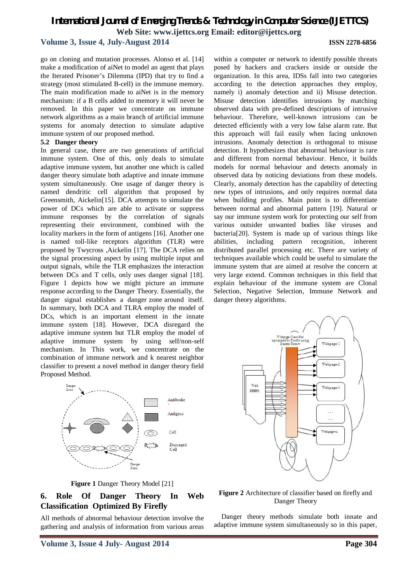### *International Journal of Emerging Trends & Technology in Computer Science (IJETTCS)* **Web Site: www.ijettcs.org Email: editor@ijettcs.org**

### **Volume 3, Issue 4, July-August 2014 ISSN 2278-6856**

go on cloning and mutation processes. Alonso et al. [14] make a modification of aiNet to model an agent that plays the Iterated Prisoner's Dilemma (IPD) that try to find a strategy (most stimulated B-cell) in the immune memory. The main modification made to aiNet is in the memory mechanism: if a B cells added to memory it will never be removed. In this paper we concentrate on immune network algorithms as a main branch of artificial immune systems for anomaly detection to simulate adaptive immune system of our proposed method.

### **5.2 Danger theory**

In general case, there are two generations of artificial immune system. One of this, only deals to simulate adaptive immune system, but another one which is called danger theory simulate both adaptive and innate immune system simultaneously. One usage of danger theory is named dendritic cell algorithm that proposed by Greensmith, Aickelin[15]. DCA attempts to simulate the power of DCs which are able to activate or suppress immune responses by the correlation of signals representing their environment, combined with the locality markers in the form of antigens [16]. Another one is named toll-like receptors algorithm (TLR) were proposed by Twycross ,Aickelin [17]. The DCA relies on the signal processing aspect by using multiple input and output signals, while the TLR emphasizes the interaction between DCs and T cells, only uses danger signal [18]. Figure 1 depicts how we might picture an immune response according to the Danger Theory. Essentially, the danger signal establishes a danger zone around itself. In summary, both DCA and TLRA employ the model of DCs, which is an important element in the innate immune system [18]. However, DCA disregard the adaptive immune system but TLR employ the model of adaptive immune system by using self/non-self mechanism. In This work, we concentrate on the combination of immune network and k nearest neighbor classifier to present a novel method in danger theory field Proposed Method.



**Figure 1** Danger Theory Model [21]

### **6. Role Of Danger Theory In Web Classification Optimized By Firefly**

All methods of abnormal behaviour detection involve the gathering and analysis of information from various areas

within a computer or network to identify possible threats posed by hackers and crackers inside or outside the organization. In this area, IDSs fall into two categories according to the detection approaches they employ, namely i) anomaly detection and ii) Misuse detection. Misuse detection identifies intrusions by matching observed data with pre-defined descriptions of intrusive behaviour. Therefore, well-known intrusions can be detected efficiently with a very low false alarm rate. But this approach will fail easily when facing unknown intrusions. Anomaly detection is orthogonal to misuse detection. It hypothesizes that abnormal behaviour is rare and different from normal behaviour. Hence, it builds models for normal behaviour and detects anomaly in observed data by noticing deviations from these models. Clearly, anomaly detection has the capability of detecting new types of intrusions, and only requires normal data when building profiles. Main point is to differentiate between normal and abnormal pattern [19]. Natural or say our immune system work for protecting our self from various outsider unwanted bodies like viruses and bacteria[20]. System is made up of various things like abilities, including pattern recognition, inherent distributed parallel processing etc. There are variety of techniques available which could be useful to simulate the immune system that are aimed at resolve the concern at very large extend. Common techniques in this field that explain behaviour of the immune system are Clonal Selection, Negative Selection, Immune Network and danger theory algorithms.



**Figure 2** Architecture of classifier based on firefly and Danger Theory

Danger theory methods simulate both innate and adaptive immune system simultaneously so in this paper,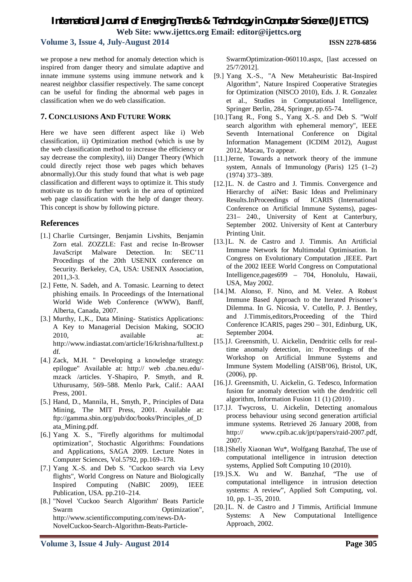### *International Journal of Emerging Trends & Technology in Computer Science (IJETTCS)* **Web Site: www.ijettcs.org Email: editor@ijettcs.org**

### **Volume 3, Issue 4, July-August 2014 ISSN 2278-6856**

we propose a new method for anomaly detection which is inspired from danger theory and simulate adaptive and innate immune systems using immune network and k nearest neighbor classifier respectively. The same concept can be useful for finding the abnormal web pages in classification when we do web classification.

### **7. CONCLUSIONS AND FUTURE WORK**

Here we have seen different aspect like i) Web classification, ii) Optimization method (which is use by the web classification method to increase the efficiency or say decrease the complexity), iii) Danger Theory (Which could directly reject those web pages which behaves abnormally).Our this study found that what is web page classification and different ways to optimize it. This study motivate us to do further work in the area of optimized web page classification with the help of danger theory. This concept is show by following picture.

### **References**

- [1.] Charlie Curtsinger, Benjamin Livshits, Benjamin Zorn etal. ZOZZLE: Fast and recise In-Browser JavaScript Malware Detection. In: SEC'11 Procedings of the 20th USENIX conference on Security. Berkeley, CA, USA: USENIX Association, 2011,3-3.
- [2.] Fette, N. Sadeh, and A. Tomasic. Learning to detect phishing emails. In Proceedings of the International World Wide Web Conference (WWW), Banff, Alberta, Canada, 2007.
- [3.] Murthy, I.,K., Data Mining- Statistics Applications: A Key to Managerial Decision Making, SOCIO 2010, available at: http://www.indiastat.com/article/16/krishna/fulltext.p df.
- [4.] Zack, M.H. " Developing a knowledge strategy: epilogue" Available at: http:// web .cba.neu.edu/ mzack /articles. Y-Shapiro, P. Smyth, and R. Uthurusamy, 569–588. Menlo Park, Calif.: AAAI Press, 2001.
- [5.] Hand, D., Mannila, H., Smyth, P., Principles of Data Mining, The MIT Press, 2001. Available at: ftp://gamma.sbin.org/pub/doc/books/Principles\_of\_D ata\_Mining.pdf.
- [6.] Yang X. S., "Firefly algorithms for multimodal optimization", Stochastic Algorithms: Foundations and Applications, SAGA 2009. Lecture Notes in Computer Sciences, Vol.5792, pp.169–178.
- [7.] Yang X.-S. and Deb S. "Cuckoo search via Levy flights", World Congress on Nature and Biologically Inspired Computing (NaBIC 2009), IEEE Publication, USA. pp.210–214.
- [8.] "Novel 'Cuckoo Search Algorithm' Beats Particle Swarm Optimization", http://www.scientificcomputing.com/news-DA-NovelCuckoo-Search-Algorithm-Beats-Particle-

SwarmOptimization-060110.aspx, [last accessed on 25/7/2012].

- [9.] Yang X.-S., "A New Metaheuristic Bat-Inspired Algorithm", Nature Inspired Cooperative Strategies for Optimization (NISCO 2010), Eds. J. R. Gonzalez et al., Studies in Computational Intelligence, Springer Berlin, 284, Springer, pp.65-74.
- [10.]Tang R., Fong S., Yang X.-S. and Deb S. "Wolf search algorithm with ephemeral memory", IEEE Seventh International Conference on Digital Information Management (ICDIM 2012), August 2012, Macau, To appear.
- [11.]Jerne, Towards a network theory of the immune system, Annals of Immunology (Paris) 125 (1–2) (1974) 373–389.
- [12.]L. N. de Castro and J. Timmis. Convergence and Hierarchy of aiNet: Basic Ideas and Preliminary Results.InProceedings of ICARIS (International Conference on Artificial Immune Systems), pages-231– 240., University of Kent at Canterbury, September 2002. University of Kent at Canterbury Printing Unit.
- [13.]L. N. de Castro and J. Timmis. An Artificial Immune Network for Multimodal Optimisation. In Congress on Evolutionary Computation ,IEEE. Part of the 2002 IEEE World Congress on Computational Intelligence,pages699 – 704, Honolulu, Hawaii, USA, May 2002.
- [14.]M. Alonso, F. Nino, and M. Velez. A Robust Immune Based Approach to the Iterated Prisoner's Dilemma. In G. Nicosia, V. Cutello, P. J. Bentley, and J.Timmis,editors,Proceeding of the Third Conference ICARIS, pages 290 – 301, Edinburg, UK, September 2004.
- [15.] J. Greensmith, U. Aickelin, Dendritic cells for realtime anomaly detection, in: Proceedings of the Workshop on Artificial Immune Systems and Immune System Modelling (AISB'06), Bristol, UK, (2006), pp.
- [16.]J. Greensmith, U. Aickelin, G. Tedesco, Information fusion for anomaly detection with the dendritic cell algorithm, Information Fusion 11 (1) (2010) .
- [17.]J. Twycross, U. Aickelin, Detecting anomalous process behaviour using second generation artificial immune systems. Retrieved 26 January 2008, from http:// www.cpib.ac.uk/jpt/papers/raid-2007.pdf, 2007.
- [18.]Shelly Xiaonan Wu\*, Wolfgang Banzhaf, The use of computational intelligence in intrusion detection systems, Applied Soft Computing 10 (2010).
- [19.]S.X. Wu and W. Banzhaf, "The use of computational intelligence in intrusion detection systems: A review", Applied Soft Computing, vol. 10, pp. 1–35, 2010.
- [20.]L. N. de Castro and J Timmis, Artificial Immune Systems: A New Computational Intelligence Approach, 2002.